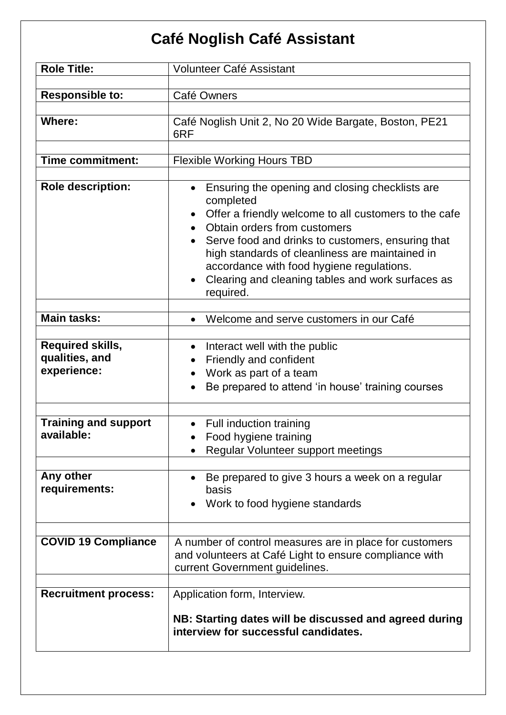## **Café Noglish Café Assistant**

| <b>Role Title:</b>                                       | <b>Volunteer Café Assistant</b>                                                                                                                                                                                                                                                                                                                                                                        |
|----------------------------------------------------------|--------------------------------------------------------------------------------------------------------------------------------------------------------------------------------------------------------------------------------------------------------------------------------------------------------------------------------------------------------------------------------------------------------|
| <b>Responsible to:</b>                                   | Café Owners                                                                                                                                                                                                                                                                                                                                                                                            |
| <b>Where:</b>                                            | Café Noglish Unit 2, No 20 Wide Bargate, Boston, PE21<br>6RF                                                                                                                                                                                                                                                                                                                                           |
| <b>Time commitment:</b>                                  | <b>Flexible Working Hours TBD</b>                                                                                                                                                                                                                                                                                                                                                                      |
| <b>Role description:</b>                                 | Ensuring the opening and closing checklists are<br>$\bullet$<br>completed<br>Offer a friendly welcome to all customers to the cafe<br>Obtain orders from customers<br>Serve food and drinks to customers, ensuring that<br>$\bullet$<br>high standards of cleanliness are maintained in<br>accordance with food hygiene regulations.<br>Clearing and cleaning tables and work surfaces as<br>required. |
| <b>Main tasks:</b>                                       | Welcome and serve customers in our Café                                                                                                                                                                                                                                                                                                                                                                |
| <b>Required skills,</b><br>qualities, and<br>experience: | Interact well with the public<br>$\bullet$<br>Friendly and confident<br>Work as part of a team<br>$\bullet$<br>Be prepared to attend 'in house' training courses                                                                                                                                                                                                                                       |
| <b>Training and support</b><br>available:                | Full induction training<br>$\bullet$<br>Food hygiene training<br>Regular Volunteer support meetings                                                                                                                                                                                                                                                                                                    |
| Any other<br>requirements:                               | Be prepared to give 3 hours a week on a regular<br>basis<br>Work to food hygiene standards                                                                                                                                                                                                                                                                                                             |
| <b>COVID 19 Compliance</b>                               | A number of control measures are in place for customers<br>and volunteers at Café Light to ensure compliance with<br>current Government guidelines.                                                                                                                                                                                                                                                    |
| <b>Recruitment process:</b>                              | Application form, Interview.<br>NB: Starting dates will be discussed and agreed during<br>interview for successful candidates.                                                                                                                                                                                                                                                                         |